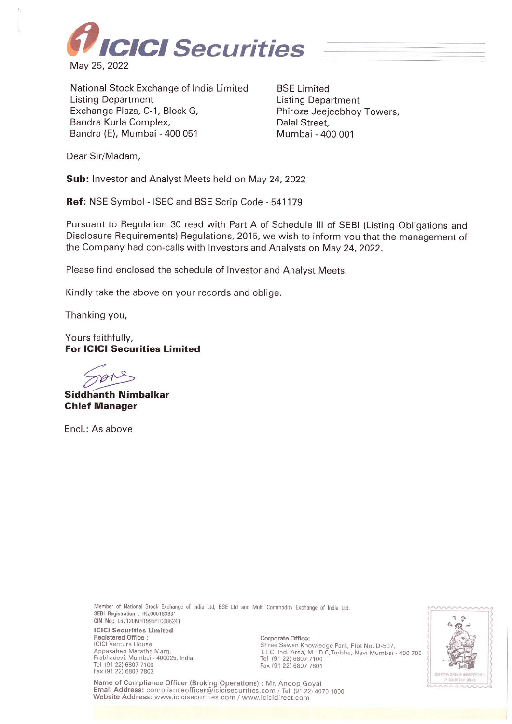

National Stock Exchange of India Limited Listing Department Exchange Plaza, C-1, Block G, Bandra Kurla Complex, Sandra (E), Mumbai - 400 051

BSE Limited Listing Department Phiroze Jeejeebhoy Towers, Dalal Street, Mumbai - 400 001

Dear Sir/Madam,

**Sub:** Investor and Analyst Meets held on May 24, 2022

**Ref:** NSE Symbol - ISEC and BSE Scrip Code - 541179

Pursuant to Regulation 30 read with Part A of Schedule Ill of SEBI (Listing Obligations and Disclosure Requirements) Regulations, 2015, we wish to inform you that the management of the Company had con-calls with Investors and Analysts on May 24, 2022.

Please find enclosed the schedule of Investor and Analyst Meets.

Kindly take the above on your records and oblige.

Thanking you,

Yours faithfully, **For ICICI Securities Limited** 

**Siddhanth Nimbalkar Chief Manager** 

Encl.: As above

Member of National Stock Exchange of India Ltd. BSE Ltd and Wulti Commodity Exchange of India Ltd. **SEBI Registration : INZ000183631 GIN No.:** L67120MH1995PLC086241

**ICICI Securities Limited Registered Office** : ICICI Venture House Appasaheb Marathe Marg, Prabhadevi, Mumbai - 400025, India Tel (91 22) 6807 7100<br>Fax (91 22) 6807 7803 **Fax (91 22) 6807 7803 INTERVALUATE 2012 12:00 2013 INTERVALUATE 2013** 

**Corporate Office:**  Shree Sawan Knowledge Park, Plot No. D-507, T.T.C. Ind. Area, M.I.D.C,Turbhe, Navi Mumbai - 400 705 Tel (91 22) 6807 7100 Fax (91 22) 6807 7801

Name of Compliance Officer (Broking Operations) : Mr. Anoop Goyal Email Address: complianceofficer@icicisecurities.com / Tel (91 22) 4070 1000 Website Address: www.icicisecurities.com / www.icicidirect.com